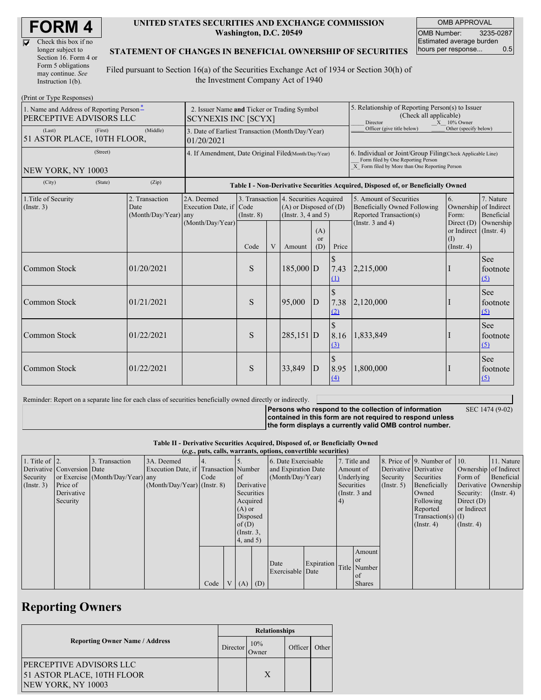D

| Check this box if no  |
|-----------------------|
| longer subject to     |
| Section 16. Form 4 or |
| Form 5 obligations    |
| may continue. See     |
| Instruction $1(b)$ .  |

#### **UNITED STATES SECURITIES AND EXCHANGE COMMISSION Washington, D.C. 20549**

OMB APPROVAL OMB Number: 3235-0287 Estimated average burden hours per response... 0.5

#### **STATEMENT OF CHANGES IN BENEFICIAL OWNERSHIP OF SECURITIES**

Filed pursuant to Section 16(a) of the Securities Exchange Act of 1934 or Section 30(h) of the Investment Company Act of 1940

| (Print or Type Responses)                                                  |                                                                           |                                                           |                                                                                  |                |                                                                                                 |                             |                                                                                                                                                    |                                                                                           |                                                                 |                                        |
|----------------------------------------------------------------------------|---------------------------------------------------------------------------|-----------------------------------------------------------|----------------------------------------------------------------------------------|----------------|-------------------------------------------------------------------------------------------------|-----------------------------|----------------------------------------------------------------------------------------------------------------------------------------------------|-------------------------------------------------------------------------------------------|-----------------------------------------------------------------|----------------------------------------|
| 1. Name and Address of Reporting Person-<br><b>PERCEPTIVE ADVISORS LLC</b> | 2. Issuer Name and Ticker or Trading Symbol<br><b>SCYNEXIS INC [SCYX]</b> |                                                           |                                                                                  |                |                                                                                                 |                             | 5. Relationship of Reporting Person(s) to Issuer<br>(Check all applicable)<br>Director<br>$X = 10\%$ Owner                                         |                                                                                           |                                                                 |                                        |
| (Last)<br>(First)<br>51 ASTOR PLACE, 10TH FLOOR,                           | 3. Date of Earliest Transaction (Month/Day/Year)<br>01/20/2021            |                                                           |                                                                                  |                |                                                                                                 | Officer (give title below)  | Other (specify below)                                                                                                                              |                                                                                           |                                                                 |                                        |
| (Street)<br>NEW YORK, NY 10003                                             | 4. If Amendment, Date Original Filed(Month/Day/Year)                      |                                                           |                                                                                  |                |                                                                                                 |                             | 6. Individual or Joint/Group Filing(Check Applicable Line)<br>Form filed by One Reporting Person<br>X Form filed by More than One Reporting Person |                                                                                           |                                                                 |                                        |
| (City)<br>(State)                                                          | (Zip)                                                                     |                                                           | Table I - Non-Derivative Securities Acquired, Disposed of, or Beneficially Owned |                |                                                                                                 |                             |                                                                                                                                                    |                                                                                           |                                                                 |                                        |
| 1. Title of Security<br>(Insert. 3)                                        | 2. Transaction<br>Date<br>(Month/Day/Year) any                            | 2A. Deemed<br>Execution Date, if Code<br>(Month/Day/Year) | $($ Instr. $8)$                                                                  |                | 3. Transaction 4. Securities Acquired<br>$(A)$ or Disposed of $(D)$<br>(Instr. $3, 4$ and $5$ ) |                             |                                                                                                                                                    | 5. Amount of Securities<br><b>Beneficially Owned Following</b><br>Reported Transaction(s) | 6.<br>Ownership<br>Form:                                        | 7. Nature<br>of Indirect<br>Beneficial |
|                                                                            |                                                                           |                                                           | Code                                                                             | $\overline{V}$ | Amount                                                                                          | (A)<br><sub>or</sub><br>(D) | Price                                                                                                                                              | (Instr. $3$ and $4$ )                                                                     | Direct $(D)$<br>or Indirect $($ Instr. 4)<br>(I)<br>(Insert, 4) | Ownership                              |
| Common Stock                                                               | 01/20/2021                                                                |                                                           | S                                                                                |                | 185,000 D                                                                                       |                             | \$<br>7.43<br>(1)                                                                                                                                  | 2,215,000                                                                                 |                                                                 | <b>See</b><br>footnote<br>(5)          |
| Common Stock                                                               | 01/21/2021                                                                |                                                           | S                                                                                |                | 95,000                                                                                          | ID                          | $\mathcal{S}$<br>7.38<br><u>(2)</u>                                                                                                                | 2,120,000                                                                                 |                                                                 | See<br>footnote<br>(5)                 |
| Common Stock                                                               | 01/22/2021                                                                |                                                           | S                                                                                |                | $285,151$ D                                                                                     |                             | 8.16<br>(3)                                                                                                                                        | 1,833,849                                                                                 |                                                                 | See<br>footnote<br>$\sqrt{2}$          |
| Common Stock                                                               | 01/22/2021                                                                |                                                           | S                                                                                |                | 33,849                                                                                          | D                           | $\mathbb{S}$<br>8.95<br>(4)                                                                                                                        | 1,800,000                                                                                 |                                                                 | See<br>footnote<br>$\Omega$            |

Reminder: Report on a separate line for each class of securities beneficially owned directly or indirectly.

SEC 1474 (9-02)

**Persons who respond to the collection of information contained in this form are not required to respond unless the form displays a currently valid OMB control number.**

**Table II - Derivative Securities Acquired, Disposed of, or Beneficially Owned**

|                        | (e.g., puts, calls, warrants, options, convertible securities) |                                  |                                       |      |  |                 |            |                     |            |               |               |                       |                              |                       |                  |
|------------------------|----------------------------------------------------------------|----------------------------------|---------------------------------------|------|--|-----------------|------------|---------------------|------------|---------------|---------------|-----------------------|------------------------------|-----------------------|------------------|
| 1. Title of $\vert$ 2. |                                                                | 3. Transaction                   | 3A. Deemed                            |      |  |                 |            | 6. Date Exercisable |            |               | 7. Title and  |                       | 8. Price of 9. Number of 10. |                       | 11. Nature       |
|                        | Derivative Conversion Date                                     |                                  | Execution Date, if Transaction Number |      |  |                 |            | and Expiration Date |            | Amount of     |               | Derivative Derivative |                              | Ownership of Indirect |                  |
| Security               |                                                                | or Exercise (Month/Day/Year) any |                                       | Code |  | $\circ$ f       |            | (Month/Day/Year)    |            |               | Underlying    | Security              | Securities                   | Form of               | Beneficial       |
| (Insert. 3)            | <b>Price of</b>                                                |                                  | $(Month/Day/Year)$ (Instr. 8)         |      |  |                 | Derivative |                     |            |               | Securities    | (Insert, 5)           | Beneficially                 | Derivative Ownership  |                  |
|                        | Derivative                                                     |                                  |                                       |      |  | Securities      |            |                     |            | (Instr. 3 and |               |                       | Owned                        | Security:             | $($ Instr. 4 $)$ |
|                        | Security                                                       |                                  |                                       |      |  | Acquired        |            |                     |            | (4)           |               |                       | Following                    | Direct $(D)$          |                  |
|                        |                                                                |                                  |                                       |      |  | $(A)$ or        |            |                     |            |               |               |                       | Reported                     | or Indirect           |                  |
|                        |                                                                |                                  |                                       |      |  |                 | Disposed   |                     |            |               |               |                       | $Transaction(s)$ (I)         |                       |                  |
|                        |                                                                |                                  |                                       |      |  | of $(D)$        |            |                     |            |               |               |                       | $($ Instr. 4)                | $($ Instr. 4 $)$      |                  |
|                        |                                                                |                                  |                                       |      |  | $($ Instr. $3,$ |            |                     |            |               |               |                       |                              |                       |                  |
|                        |                                                                |                                  |                                       |      |  | 4, and 5)       |            |                     |            |               |               |                       |                              |                       |                  |
|                        |                                                                |                                  |                                       |      |  |                 |            |                     |            |               | Amount        |                       |                              |                       |                  |
|                        |                                                                |                                  |                                       |      |  |                 |            |                     |            |               | <b>or</b>     |                       |                              |                       |                  |
|                        |                                                                |                                  |                                       |      |  |                 |            | Date                | Expiration |               | Title Number  |                       |                              |                       |                  |
|                        |                                                                |                                  |                                       |      |  |                 |            | Exercisable Date    |            |               | of            |                       |                              |                       |                  |
|                        |                                                                |                                  |                                       | Code |  | $V(A)$ (D)      |            |                     |            |               | <b>Shares</b> |                       |                              |                       |                  |

## **Reporting Owners**

|                                       | <b>Relationships</b> |              |         |       |  |  |
|---------------------------------------|----------------------|--------------|---------|-------|--|--|
| <b>Reporting Owner Name / Address</b> |                      | 10%<br>Owner | Officer | Other |  |  |
| PERCEPTIVE ADVISORS LLC               |                      |              |         |       |  |  |
| 51 ASTOR PLACE, 10TH FLOOR            |                      | X            |         |       |  |  |
| NEW YORK, NY 10003                    |                      |              |         |       |  |  |